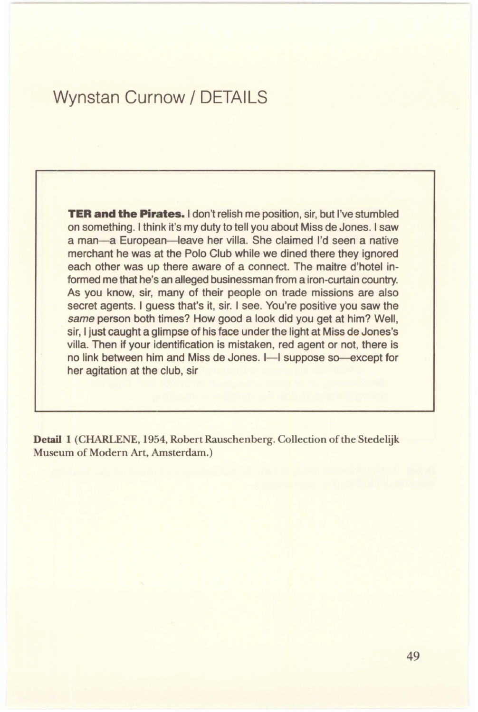## Wynstan Curnow/ DETAILS

**TER and the Pirates.** I don't relish me position, sir, but I've stumbled on something. I think it's my duty to tell you about Miss de Jones. I saw a man-a European-leave her villa. She claimed I'd seen a native merchant he was at the Polo Club while we dined there they ignored each other was up there aware of a connect. The maitre d'hotel informed me that he's an alleged businessman from a iron-curtain country. As you know, sir, many of their people on trade missions are also secret agents. I guess that's it, sir. I see. You're positive you saw the same person both times? How good a look did you get at him? Well, sir, I just caught a glimpse of his face under the light at Miss de Jones's villa. Then if your identification is mistaken, red agent or not, there is no link between him and Miss de Jones. I-I suppose so-except for her agitation at the club, sir

**Detail 1** (CHARLENE, 1954, Robert Rauschenberg. Collection of the Stedelijk Museum of Modern Art, Amsterdam.)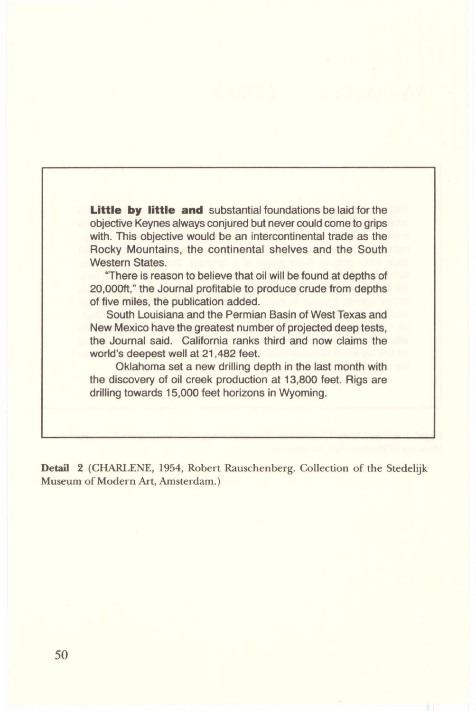**Little by little and** substantial foundations be laid for the objective Keynes always conjured but never could come to grips with. This objective would be an intercontinental trade as the Rocky Mountains, the continental shelves and the South Western States.

"There is reason to believe that oil will be found at depths of 20,000ft," the Journal profitable to produce crude from depths of five miles, the publication added.

South Louisiana and the Permian Basin of West Texas and New Mexico have the greatest number of projected deep tests, the Journal said. California ranks third and now claims the world's deepest well at 21,482 feet.

Oklahoma set a new drilling depth in the last month with the discovery of oil creek production at 13,800 feet. Rigs are drilling towards 15,000 feet horizons in Wyoming.

**Detail 2** (CHARLENE, 1954, Robert Rauschenberg. Collection of the Stedelijk Museum of Modern Art, Amsterdam.)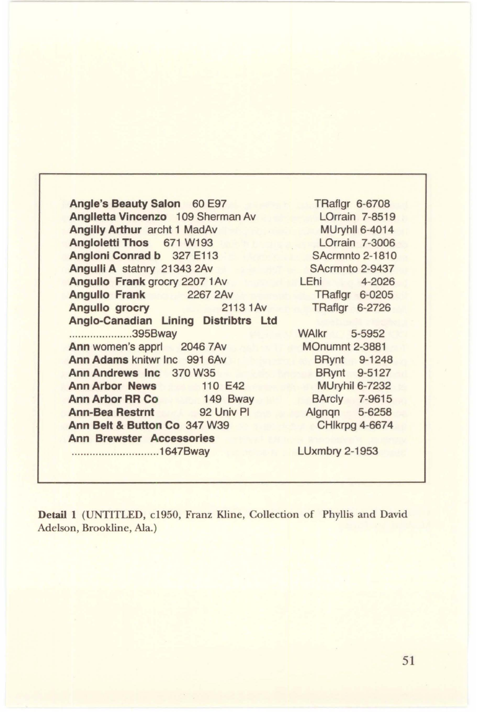**Angle's Beauty Salon** 60 E97 **Anglletta Vincenzo** 109 Sherman Av **Angilly Arthur** archt 1 MadAv **Angloletti Thos** 671 W193 **Angloni Conrad b** 327 E113 **Angulli A** statnry 21343 2Av **Angullo Frank grocry 2207 1Av Angullo Frank** 2267 2Av **Angullo grocry 2113 1 Av Anglo-Canadian Lining Distribtrs Ltd**  ..................... 395Bway Ann women's apprl 2046 7Av **Ann Adams** knitwr Inc 991 6Av **Ann Andrews Inc** 370 W35 **Ann Arbor News 110 E42 Ann Arbor RR Co** 149 Bway **Ann-Bea Restrnt** 92 Univ Pl **Ann Belt** & **Button Co** 347 W39 **Ann Brewster Accessories**  ............................. 1647Bway

TRaflgr 6-6708 LOrrain 7-8519 MUryhll 6-4014 LOrrain 7-3006 SAcrmnto 2-1810 SAcrmnto 2-9437 LEhi 4-2026 TRaflgr 6-0205 TRaflgr 6-2726

WAlkr 5-5952 MOnumnt 2-3881 BRynt 9-1248 BRynt 9-5127 MUryhil 6-7232 BArcly 7-9615 Algnqn 5-6258 CHlkrpg 4-6674

LUxmbry 2-1953

**Detail 1** (UNTITLED, c1950, Franz Kline, Collection of Phyllis and David Adelson, Brookline, Ala.)